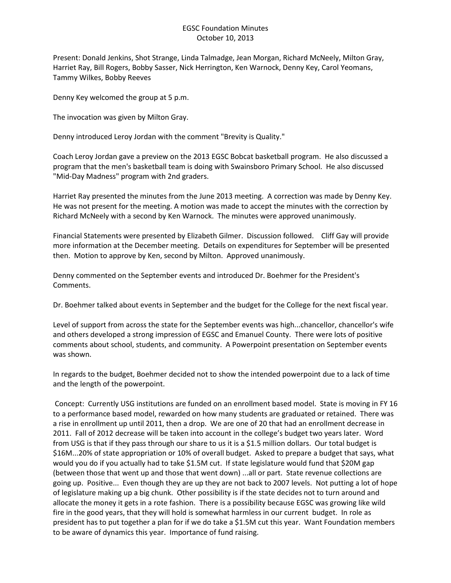## EGSC Foundation Minutes October 10, 2013

Present: Donald Jenkins, Shot Strange, Linda Talmadge, Jean Morgan, Richard McNeely, Milton Gray, Harriet Ray, Bill Rogers, Bobby Sasser, Nick Herrington, Ken Warnock, Denny Key, Carol Yeomans, Tammy Wilkes, Bobby Reeves

Denny Key welcomed the group at 5 p.m.

The invocation was given by Milton Gray.

Denny introduced Leroy Jordan with the comment "Brevity is Quality."

Coach Leroy Jordan gave a preview on the 2013 EGSC Bobcat basketball program. He also discussed a program that the men's basketball team is doing with Swainsboro Primary School. He also discussed "Mid-Day Madness" program with 2nd graders.

Harriet Ray presented the minutes from the June 2013 meeting. A correction was made by Denny Key. He was not present for the meeting. A motion was made to accept the minutes with the correction by Richard McNeely with a second by Ken Warnock. The minutes were approved unanimously.

Financial Statements were presented by Elizabeth Gilmer. Discussion followed. Cliff Gay will provide more information at the December meeting. Details on expenditures for September will be presented then. Motion to approve by Ken, second by Milton. Approved unanimously.

Denny commented on the September events and introduced Dr. Boehmer for the President's Comments.

Dr. Boehmer talked about events in September and the budget for the College for the next fiscal year.

Level of support from across the state for the September events was high...chancellor, chancellor's wife and others developed a strong impression of EGSC and Emanuel County. There were lots of positive comments about school, students, and community. A Powerpoint presentation on September events was shown.

In regards to the budget, Boehmer decided not to show the intended powerpoint due to a lack of time and the length of the powerpoint.

Concept: Currently USG institutions are funded on an enrollment based model. State is moving in FY 16 to a performance based model, rewarded on how many students are graduated or retained. There was a rise in enrollment up until 2011, then a drop. We are one of 20 that had an enrollment decrease in 2011. Fall of 2012 decrease will be taken into account in the college's budget two years later. Word from USG is that if they pass through our share to us it is a \$1.5 million dollars. Our total budget is \$16M...20% of state appropriation or 10% of overall budget. Asked to prepare a budget that says, what would you do if you actually had to take \$1.5M cut. If state legislature would fund that \$20M gap (between those that went up and those that went down) ...all or part. State revenue collections are going up. Positive... Even though they are up they are not back to 2007 levels. Not putting a lot of hope of legislature making up a big chunk. Other possibility is if the state decides not to turn around and allocate the money it gets in a rote fashion. There is a possibility because EGSC was growing like wild fire in the good years, that they will hold is somewhat harmless in our current budget. In role as president has to put together a plan for if we do take a \$1.5M cut this year. Want Foundation members to be aware of dynamics this year. Importance of fund raising.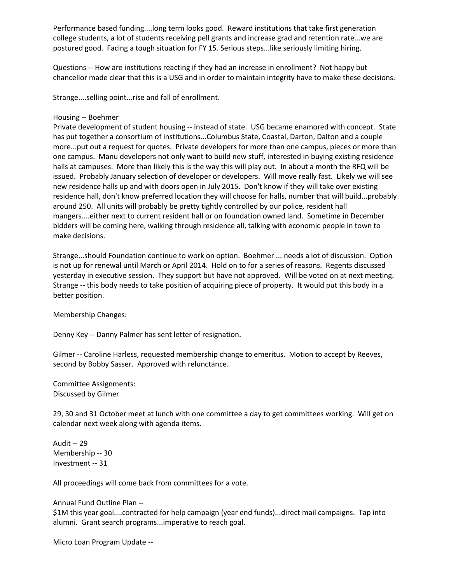Performance based funding....long term looks good. Reward institutions that take first generation college students, a lot of students receiving pell grants and increase grad and retention rate...we are postured good. Facing a tough situation for FY 15. Serious steps...like seriously limiting hiring.

Questions -- How are institutions reacting if they had an increase in enrollment? Not happy but chancellor made clear that this is a USG and in order to maintain integrity have to make these decisions.

Strange....selling point...rise and fall of enrollment.

## Housing -- Boehmer

Private development of student housing -- instead of state. USG became enamored with concept. State has put together a consortium of institutions...Columbus State, Coastal, Darton, Dalton and a couple more...put out a request for quotes. Private developers for more than one campus, pieces or more than one campus. Manu developers not only want to build new stuff, interested in buying existing residence halls at campuses. More than likely this is the way this will play out. In about a month the RFQ will be issued. Probably January selection of developer or developers. Will move really fast. Likely we will see new residence halls up and with doors open in July 2015. Don't know if they will take over existing residence hall, don't know preferred location they will choose for halls, number that will build...probably around 250. All units will probably be pretty tightly controlled by our police, resident hall mangers....either next to current resident hall or on foundation owned land. Sometime in December bidders will be coming here, walking through residence all, talking with economic people in town to make decisions.

Strange...should Foundation continue to work on option. Boehmer ... needs a lot of discussion. Option is not up for renewal until March or April 2014. Hold on to for a series of reasons. Regents discussed yesterday in executive session. They support but have not approved. Will be voted on at next meeting. Strange -- this body needs to take position of acquiring piece of property. It would put this body in a better position.

Membership Changes:

Denny Key -- Danny Palmer has sent letter of resignation.

Gilmer -- Caroline Harless, requested membership change to emeritus. Motion to accept by Reeves, second by Bobby Sasser. Approved with relunctance.

Committee Assignments: Discussed by Gilmer

29, 30 and 31 October meet at lunch with one committee a day to get committees working. Will get on calendar next week along with agenda items.

Audit -- 29 Membership -- 30 Investment -- 31

All proceedings will come back from committees for a vote.

Annual Fund Outline Plan --

\$1M this year goal....contracted for help campaign (year end funds)...direct mail campaigns. Tap into alumni. Grant search programs...imperative to reach goal.

Micro Loan Program Update --